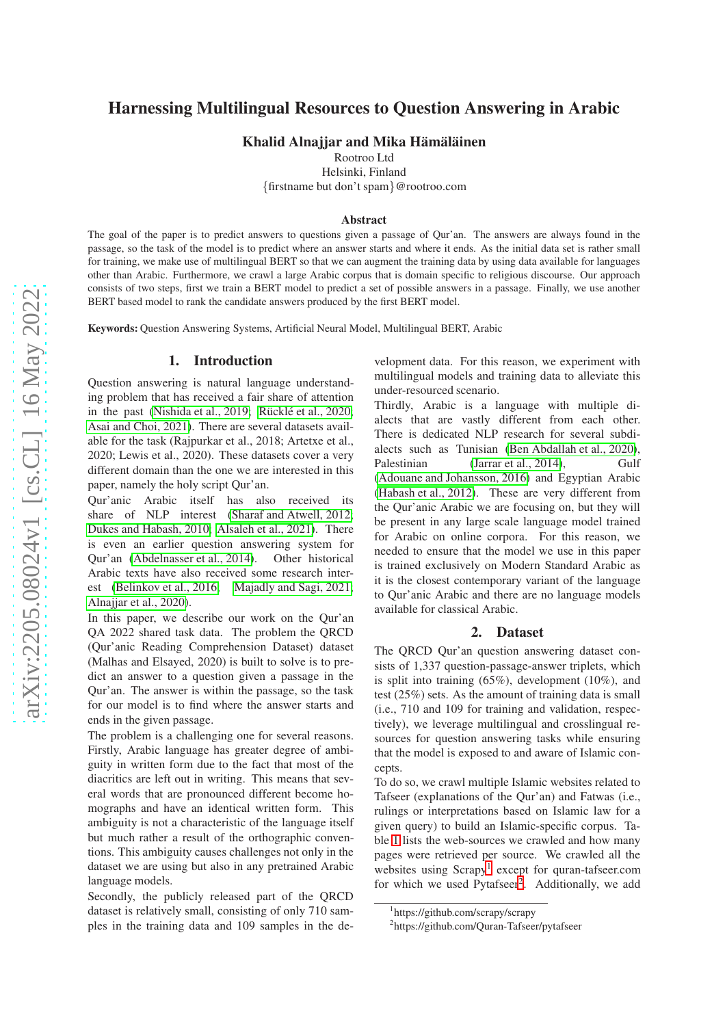# Harnessing Multilingual Resources to Question Answering in Arabic

Khalid Alnajjar and Mika Hämäläinen

Rootroo Ltd

Helsinki, Finland

{firstname but don't spam}@rootroo.com

#### Abstract

The goal of the paper is to predict answers to questions given a passage of Qur'an. The answers are always found in the passage, so the task of the model is to predict where an answer starts and where it ends. As the initial data set is rather small for training, we make use of multilingual BERT so that we can augment the training data by using data available for languages other than Arabic. Furthermore, we crawl a large Arabic corpus that is domain specific to religious discourse. Our approach consists of two steps, first we train a BERT model to predict a set of possible answers in a passage. Finally, we use another BERT based model to rank the candidate answers produced by the first BERT model.

Keywords: Question Answering Systems, Artificial Neural Model, Multilingual BERT, Arabic

#### 1. Introduction

Question answering is natural language understanding problem that has received a fair share of attention in the past [\(Nishida et al., 2019;](#page-5-0) Rücklé et al., 2020; [Asai and Choi, 2021\)](#page-4-0). There are several datasets available for the task (Rajpurkar et al., 2018; Artetxe et al., 2020; Lewis et al., 2020). These datasets cover a very different domain than the one we are interested in this paper, namely the holy script Qur'an.

Qur'anic Arabic itself has also received its share of NLP interest [\(Sharaf and Atwell, 2012;](#page-5-2) [Dukes and Habash, 2010;](#page-4-1) [Alsaleh et al., 2021\)](#page-4-2). There is even an earlier question answering system for Qur'an [\(Abdelnasser et al., 2014\)](#page-4-3). Other historical Arabic texts have also received some research interest [\(Belinkov et al., 2016;](#page-4-4) [Majadly and Sagi, 2021;](#page-5-3) [Alnajjar et al., 2020\)](#page-4-5).

In this paper, we describe our work on the Qur'an QA 2022 shared task data. The problem the QRCD (Qur'anic Reading Comprehension Dataset) dataset (Malhas and Elsayed, 2020) is built to solve is to predict an answer to a question given a passage in the Qur'an. The answer is within the passage, so the task for our model is to find where the answer starts and ends in the given passage.

The problem is a challenging one for several reasons. Firstly, Arabic language has greater degree of ambiguity in written form due to the fact that most of the diacritics are left out in writing. This means that several words that are pronounced different become homographs and have an identical written form. This ambiguity is not a characteristic of the language itself but much rather a result of the orthographic conventions. This ambiguity causes challenges not only in the dataset we are using but also in any pretrained Arabic language models.

Secondly, the publicly released part of the QRCD dataset is relatively small, consisting of only 710 samples in the training data and 109 samples in the development data. For this reason, we experiment with multilingual models and training data to alleviate this under-resourced scenario.

Thirdly, Arabic is a language with multiple dialects that are vastly different from each other. There is dedicated NLP research for several subdialects such as Tunisian [\(Ben Abdallah et al., 2020\)](#page-4-6), Palestinian [\(Jarrar et al., 2014\)](#page-5-4), Gulf [\(Adouane and Johansson, 2016\)](#page-4-7) and Egyptian Arabic [\(Habash et al., 2012\)](#page-4-8). These are very different from the Qur'anic Arabic we are focusing on, but they will be present in any large scale language model trained for Arabic on online corpora. For this reason, we needed to ensure that the model we use in this paper is trained exclusively on Modern Standard Arabic as it is the closest contemporary variant of the language to Qur'anic Arabic and there are no language models available for classical Arabic.

#### 2. Dataset

The QRCD Qur'an question answering dataset consists of 1,337 question-passage-answer triplets, which is split into training (65%), development (10%), and test (25%) sets. As the amount of training data is small (i.e., 710 and 109 for training and validation, respectively), we leverage multilingual and crosslingual resources for question answering tasks while ensuring that the model is exposed to and aware of Islamic concepts.

To do so, we crawl multiple Islamic websites related to Tafseer (explanations of the Qur'an) and Fatwas (i.e., rulings or interpretations based on Islamic law for a given query) to build an Islamic-specific corpus. Table [1](#page-1-0) lists the web-sources we crawled and how many pages were retrieved per source. We crawled all the websites using Scrapy<sup>[1](#page-0-0)</sup> except for quran-tafseer.com for which we used Pytafseer<sup>[2](#page-0-1)</sup>. Additionally, we add

<sup>1</sup> https://github.com/scrapy/scrapy

<span id="page-0-1"></span><span id="page-0-0"></span><sup>2</sup> https://github.com/Quran-Tafseer/pytafseer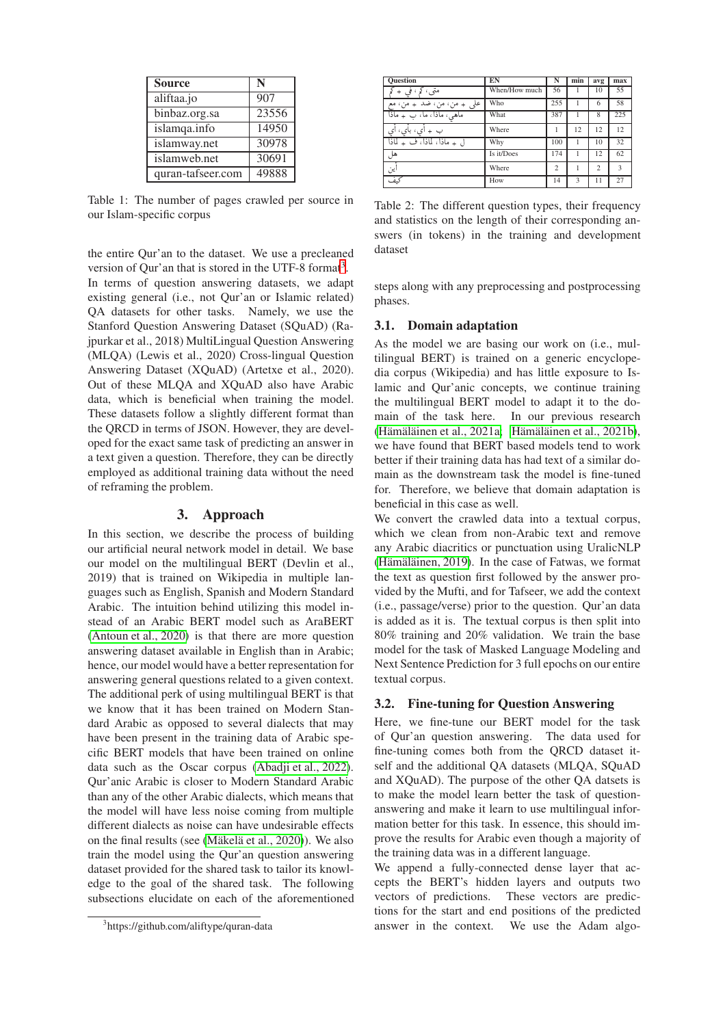| <b>Source</b>     | N     |
|-------------------|-------|
| aliftaa.jo        | 907   |
| binbaz.org.sa     | 23556 |
| islamqa.info      | 14950 |
| islamway.net      | 30978 |
| islamweb.net      | 30691 |
| quran-tafseer.com | 49888 |

<span id="page-1-0"></span>Table 1: The number of pages crawled per source in our Islam-specific corpus

the entire Qur'an to the dataset. We use a precleaned version of Qur'an that is stored in the UTF-8 format<sup>[3](#page-1-1)</sup>. In terms of question answering datasets, we adapt existing general (i.e., not Qur'an or Islamic related) QA datasets for other tasks. Namely, we use the Stanford Question Answering Dataset (SQuAD) (Rajpurkar et al., 2018) MultiLingual Question Answering (MLQA) (Lewis et al., 2020) Cross-lingual Question Answering Dataset (XQuAD) (Artetxe et al., 2020). Out of these MLQA and XQuAD also have Arabic data, which is beneficial when training the model. These datasets follow a slightly different format than the QRCD in terms of JSON. However, they are developed for the exact same task of predicting an answer in a text given a question. Therefore, they can be directly employed as additional training data without the need of reframing the problem.

### 3. Approach

In this section, we describe the process of building our artificial neural network model in detail. We base our model on the multilingual BERT (Devlin et al., 2019) that is trained on Wikipedia in multiple languages such as English, Spanish and Modern Standard Arabic. The intuition behind utilizing this model instead of an Arabic BERT model such as AraBERT [\(Antoun et al., 2020\)](#page-4-9) is that there are more question answering dataset available in English than in Arabic; hence, our model would have a better representation for answering general questions related to a given context. The additional perk of using multilingual BERT is that we know that it has been trained on Modern Standard Arabic as opposed to several dialects that may have been present in the training data of Arabic specific BERT models that have been trained on online data such as the Oscar corpus [\(Abadji et al., 2022\)](#page-4-10). Qur'anic Arabic is closer to Modern Standard Arabic than any of the other Arabic dialects, which means that the model will have less noise coming from multiple different dialects as noise can have undesirable effects on the final results (see (Mäkelä et al., 2020)). We also train the model using the Qur'an question answering dataset provided for the shared task to tailor its knowledge to the goal of the shared task. The following subsections elucidate on each of the aforementioned

| <b>Ouestion</b>             | EN            | N              | min | avg            | max          |
|-----------------------------|---------------|----------------|-----|----------------|--------------|
| متى، كړ، فې +               | When/How much | 56             |     | 10             | 55           |
| علي  + من، من، ضد  + من، مع | Who           | 255            |     | 6              | 58           |
| ماهي، ماذا، ما، ب + ماذا    | What          | 387            |     | 8              | 225          |
| ب + ای، بای،                | Where         | 1              | 12  | 12             | 12           |
| ل + ماذا، لماذا، ف + لماذا  | Why           | 100            |     | 10             | 32           |
| هل                          | Is it/Does    | 174            |     | 12             | 62           |
| ين                          | Where         | $\overline{c}$ |     | $\overline{c}$ | $\mathbf{3}$ |
| كىف                         | How           | 14             | 3   | 11             | 27           |

<span id="page-1-2"></span>Table 2: The different question types, their frequency and statistics on the length of their corresponding answers (in tokens) in the training and development dataset

steps along with any preprocessing and postprocessing phases.

### 3.1. Domain adaptation

As the model we are basing our work on (i.e., multilingual BERT) is trained on a generic encyclopedia corpus (Wikipedia) and has little exposure to Islamic and Qur'anic concepts, we continue training the multilingual BERT model to adapt it to the domain of the task here. In our previous research (Hämäläinen et al., 2021a; Hämäläinen et al., 2021b), we have found that BERT based models tend to work better if their training data has had text of a similar domain as the downstream task the model is fine-tuned for. Therefore, we believe that domain adaptation is beneficial in this case as well.

We convert the crawled data into a textual corpus, which we clean from non-Arabic text and remove any Arabic diacritics or punctuation using UralicNLP (Hämäläinen, 2019). In the case of Fatwas, we format the text as question first followed by the answer provided by the Mufti, and for Tafseer, we add the context (i.e., passage/verse) prior to the question. Qur'an data is added as it is. The textual corpus is then split into 80% training and 20% validation. We train the base model for the task of Masked Language Modeling and Next Sentence Prediction for 3 full epochs on our entire textual corpus.

#### 3.2. Fine-tuning for Question Answering

Here, we fine-tune our BERT model for the task of Qur'an question answering. The data used for fine-tuning comes both from the QRCD dataset itself and the additional QA datasets (MLQA, SQuAD and XQuAD). The purpose of the other QA datsets is to make the model learn better the task of questionanswering and make it learn to use multilingual information better for this task. In essence, this should improve the results for Arabic even though a majority of the training data was in a different language.

We append a fully-connected dense layer that accepts the BERT's hidden layers and outputs two vectors of predictions. These vectors are predictions for the start and end positions of the predicted answer in the context. We use the Adam algo-

<span id="page-1-1"></span><sup>3</sup> https://github.com/aliftype/quran-data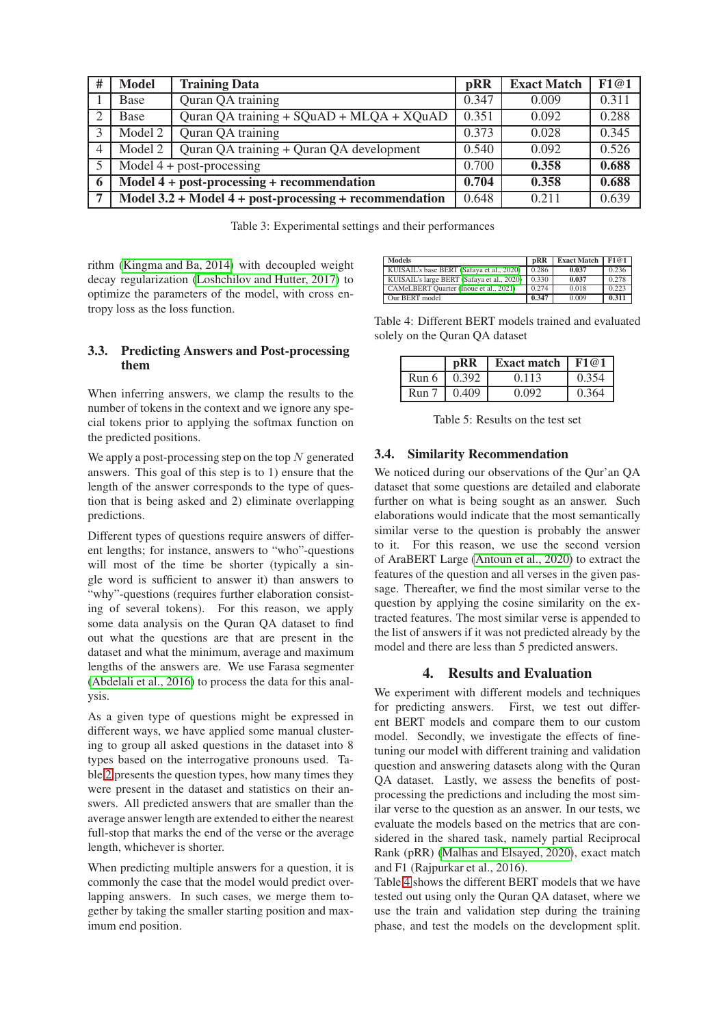| #                   | <b>Model</b>                                 | <b>Training Data</b>                                       | pRR   | <b>Exact Match</b> | F1@1  |
|---------------------|----------------------------------------------|------------------------------------------------------------|-------|--------------------|-------|
|                     | Base                                         | Quran QA training                                          | 0.347 | 0.009              | 0.311 |
|                     | Base                                         | Quran QA training + SQuAD + MLQA + XQuAD                   | 0.351 | 0.092              | 0.288 |
| 3                   | Model 2                                      | Quran QA training                                          | 0.373 | 0.028              | 0.345 |
| $\overline{4}$      | Model 2                                      | Quran QA training + Quran QA development                   | 0.540 | 0.092              | 0.526 |
|                     | Model $4 + post-processing$                  |                                                            | 0.700 | 0.358              | 0.688 |
| $\ddot{\mathbf{a}}$ | $Model 4 + post-processing + recommendation$ |                                                            |       | 0.358              | 0.688 |
| 7                   |                                              | Model $3.2 +$ Model $4 +$ post-processing + recommendation | 0.648 | 0.211              | 0.639 |

<span id="page-2-2"></span>Table 3: Experimental settings and their performances

rithm [\(Kingma and Ba, 2014\)](#page-5-7) with decoupled weight decay regularization [\(Loshchilov and Hutter, 2017\)](#page-5-8) to optimize the parameters of the model, with cross entropy loss as the loss function.

### 3.3. Predicting Answers and Post-processing them

When inferring answers, we clamp the results to the number of tokens in the context and we ignore any special tokens prior to applying the softmax function on the predicted positions.

We apply a post-processing step on the top  $N$  generated answers. This goal of this step is to 1) ensure that the length of the answer corresponds to the type of question that is being asked and 2) eliminate overlapping predictions.

Different types of questions require answers of different lengths; for instance, answers to "who"-questions will most of the time be shorter (typically a single word is sufficient to answer it) than answers to "why"-questions (requires further elaboration consisting of several tokens). For this reason, we apply some data analysis on the Quran QA dataset to find out what the questions are that are present in the dataset and what the minimum, average and maximum lengths of the answers are. We use Farasa segmenter [\(Abdelali et al., 2016\)](#page-4-13) to process the data for this analysis.

As a given type of questions might be expressed in different ways, we have applied some manual clustering to group all asked questions in the dataset into 8 types based on the interrogative pronouns used. Table [2](#page-1-2) presents the question types, how many times they were present in the dataset and statistics on their answers. All predicted answers that are smaller than the average answer length are extended to either the nearest full-stop that marks the end of the verse or the average length, whichever is shorter.

When predicting multiple answers for a question, it is commonly the case that the model would predict overlapping answers. In such cases, we merge them together by taking the smaller starting position and maximum end position.

| <b>Models</b>                              | pRR   | <b>Exact Match</b> | F1@1  |
|--------------------------------------------|-------|--------------------|-------|
| KUISAIL's base BERT (Safaya et al., 2020)  | 0.286 | 0.037              | 0.236 |
| KUISAIL's large BERT (Safaya et al., 2020) | 0.330 | 0.037              | 0.278 |
| CAMeLBERT Ouarter (Inoue et al., 2021)     | 0.274 | 0.018              | 0.223 |
| Our BERT model                             | 0.347 | 0.009              | 0.311 |

Table 4: Different BERT models trained and evaluated solely on the Quran QA dataset

<span id="page-2-0"></span>

|                  | <b>pRR</b> | <b>Exact match</b> | F1@1  |
|------------------|------------|--------------------|-------|
| Run 6            | 0.392      | 0.113              | 0.354 |
| Run <sub>7</sub> | 0.409      | 0.092              | 0.364 |

<span id="page-2-1"></span>Table 5: Results on the test set

## 3.4. Similarity Recommendation

We noticed during our observations of the Qur'an QA dataset that some questions are detailed and elaborate further on what is being sought as an answer. Such elaborations would indicate that the most semantically similar verse to the question is probably the answer to it. For this reason, we use the second version of AraBERT Large [\(Antoun et al., 2020\)](#page-4-9) to extract the features of the question and all verses in the given passage. Thereafter, we find the most similar verse to the question by applying the cosine similarity on the extracted features. The most similar verse is appended to the list of answers if it was not predicted already by the model and there are less than 5 predicted answers.

## 4. Results and Evaluation

We experiment with different models and techniques for predicting answers. First, we test out different BERT models and compare them to our custom model. Secondly, we investigate the effects of finetuning our model with different training and validation question and answering datasets along with the Quran QA dataset. Lastly, we assess the benefits of postprocessing the predictions and including the most similar verse to the question as an answer. In our tests, we evaluate the models based on the metrics that are considered in the shared task, namely partial Reciprocal Rank (pRR) [\(Malhas and Elsayed, 2020\)](#page-5-11), exact match and F1 (Rajpurkar et al., 2016).

Table [4](#page-2-0) shows the different BERT models that we have tested out using only the Quran QA dataset, where we use the train and validation step during the training phase, and test the models on the development split.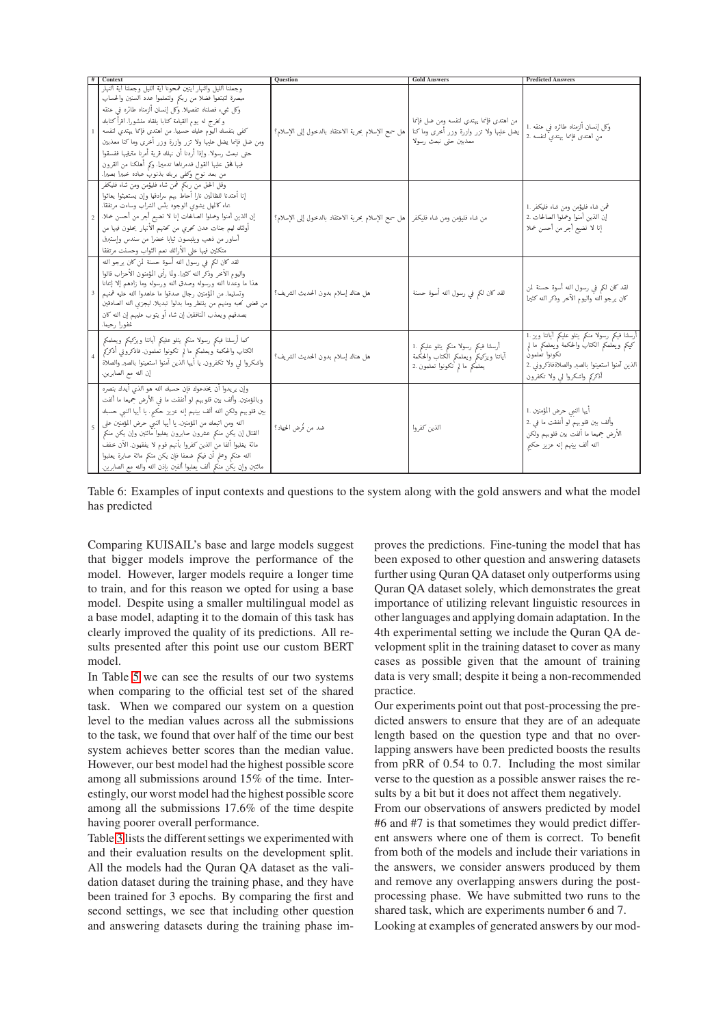| Contex                                                                                                                                                                                                                                                                                                                                                                                                                                                                                                                                            | Ouestion                                           | <b>Gold Answers</b>                                                                                            | <b>Predicted Answers</b>                                                                                                                                                                       |
|---------------------------------------------------------------------------------------------------------------------------------------------------------------------------------------------------------------------------------------------------------------------------------------------------------------------------------------------------------------------------------------------------------------------------------------------------------------------------------------------------------------------------------------------------|----------------------------------------------------|----------------------------------------------------------------------------------------------------------------|------------------------------------------------------------------------------------------------------------------------------------------------------------------------------------------------|
| وجعلنا الليل والنهار أيتين فمحونا أية الليل وجعلنا أية النهار<br>مبصرة لتبتغوا فضلا من ربكم ولتعلموا عدد السنين والحساب<br>وكل ثنيء فصلناه تفصيلا. وكل إنسان ألزمناه طائره في عنقه<br>ونخرج له يوم القيامة كتابا يلقاه منشورا. اقرأ كتابك<br>كفي بنفسك اليوم عليك حسيبا. من اهتدى فإنما يهتدي لنفسه<br>ومن ضل فإنما يضل عليها ولا تزر وازرة وزر أخرى وماكنا معذبين<br>حتى نبعث رسولا. وإذا أردنا أن نهلك قرية أمرنا مترفيها ففسقوا<br>فيها فحق عليها القول فدمرناها تدميرا. وكم أهلكنا من القرون<br>من بعد نوح وكفي بربك بذنوب عباده خبيرا بصيرا. | هل سمح الإسلام بحرية الاعتقاد بالدخول إلى الإسلام؟ | من اهتدى فإنما يهتدى لنفسه ومن ضل فإنما<br>يضل عليها ولا تزر وازرة وزر أخرى وماكنا<br>معذبين حتى نبعث رسولا    | وكل إنسان ألزمناه طائره في عنقه .1<br>من اهتدى فإنما يهتديّ لنفسه .2                                                                                                                           |
| وقل الحقَّ مَنْ ربكم فمن شاء فليؤمن ومن شاء فليكفر<br>إنا أعتدنا للظالمين نارا أحاط بهم سرادقها وإن يستغيثوا يغاثوا<br>بماء كالمهل يشوي الوجوه بئس الشراب وساءت مرتفقا.<br>إن الذين أمنوا وعملوا الصالحات إنا لا نضيع أجر من أحسن عملا.<br>أولئك لهم جنات عدن تحرى من تحتهم الأنهار يحلون فيها من<br>أساور من ذهب ويلبسون ثيابا خضرا من سندس وإستبرق<br>متكئين فيها على الأرائك نعم الثواب وحسنت مرتفقا                                                                                                                                           | هل سمح الإسلام بحرية الاعتقاد بالدخول إلى الإسلام؟ | من شاء فليؤمن ومن شاء فليكفر                                                                                   | فمن شاء فليؤمن ومن شاء فليكفر .1<br>إن الذين آمنوا وعملوا الصالحات .2<br>إنا لا نضيع أجر من أحسن عملا                                                                                          |
| لقد كان لكم في رسول الله أسوة حسنة لمن كان يرجو الله<br>واليوم الآخر وذكر الله كثيرا. ولما رأى المؤمنون الأحزاب قالوا<br>هذا ما وعدنا الله ورسوله وصدق الله ورسوله وما زادهم إلا إعانا<br>وتسليما. من المؤمنين رجال صدقوا ما عاهدوا الله عليه فمنهم<br>من قضي نحبه ومنهم من ينتظر وما بدلوا تبديلا. ليجزي الله الصادقين<br>بصدقهم ويعذب المنافقين إن شاء أو يتوب عليهم إن الله كان<br>غفورا رحيما.                                                                                                                                                | هل هناك إسلام بدون الحديث الشريف؟                  | لقد كان لكم في رسول الله أسوة حسنة                                                                             | لقد كان لكم في رسول الله أسوة حسنة لمن<br>كان يرجو ألله واليوم الآخر وذكر الله كثيرا                                                                                                           |
| كعا أرسلنا فيكم رسولا منكم يتلو عليكم أياتنا ويزكيكم ويعلمكم<br>الكتاب والمحكمة ويعلمكم مالم تكونوا تعلمون فاذكروني أذكركم<br>واشكروا لي ولا تكفرون. يا أيها الذين أمنوا استعينوا بالصبر والصلاة<br>إن الله مع الصابرين.                                                                                                                                                                                                                                                                                                                          | هل هناك إسلام بدون الحديث الشريف؟                  | أرسلنا فيكم رسولا منكم يتلو عليكم .1<br>أياتنا ويزكيكم ويعلمكم الكتاب والحكمة<br>يعلمُكم ما لم تكونوا تعلمون 2 | أرسلنا فيكم رسولا منكم يتلو عليكم أياتنا ويز 1.<br>كيكم ويعلمكم الكتاب والحكمة ويعلمكم مالم<br>تكونوا تعلمون<br>الذين آمنوا استعينوا بالصبر والصلاةفاذكروني .2<br>أذكركم واشكروا لى ولا تكفرون |
| وإن يريدوا أن يخدعوك فإن حسبك الله هو الذي أيدك بنصره<br>وبالمؤمنين. وألف بين قلوبهم لو أنفقت ما في الأرض حميعا ما ألفت<br>بين قلوبهم ولكن الله ألف بينهم إنه عزيز حكيم. يا أيها النبي حسبك<br>الله ومن اتبعك من المؤمنين. يا أيها النبي حرض المؤمنين على<br>القتال إن يكن منكم عشرون صابرون يغلبوا مائتين وإن يكن منكم<br>مائة يغلبوا ألفا من الذين كفروا بأنهم قوم لا يفقهون. الآن خفف<br>الله عنكم وعلم أن فيكم ضعفا فإن يكن منكم مائة صابرة يغلبوا<br>مائتين وإن يكن منكم ألف يغلبوا ألفين بإذن الله والله مع الصابرين.                       | ضد من فُرض الحِهاد؟                                | الذين كفروا                                                                                                    | أيها النمي حرض المؤمنين .1<br>وألف بين قلوبهم لو أنفقت ما في .2<br>الأرض جميعا ما ألفت بين قلوبهم ولكن<br>الله ألف بينهم إنه عزيز حكيم                                                         |

<span id="page-3-0"></span>Table 6: Examples of input contexts and questions to the system along with the gold answers and what the model has predicted

Comparing KUISAIL's base and large models suggest that bigger models improve the performance of the model. However, larger models require a longer time to train, and for this reason we opted for using a base model. Despite using a smaller multilingual model as a base model, adapting it to the domain of this task has clearly improved the quality of its predictions. All results presented after this point use our custom BERT model.

In Table 5 we can see the results of our two systems when comparing to the official test set of the shared task. When we compared our system on a question level to the median values across all the submissions to the task, we found that over half of the time our best system achieves better scores than the median value. However, our best model had the highest possible score among all submissions around 15% of the time. Interestingly, our worst model had the highest possible score among all the submissions 17.6% of the time despite having poorer overall performance.

Table 3 lists the different settings we experimented with and their evaluation results on the development split. All the models had the Quran QA dataset as the validation dataset during the training phase, and they have been trained for 3 epochs. By comparing the first and second settings, we see that including other question and answering datasets during the training phase improves the predictions. Fine-tuning the model that has been exposed to other question and answering datasets further using Quran QA dataset only outperforms using Quran QA dataset solely, which demonstrates the great importance of utilizing relevant linguistic resources in other languages and applying domain adaptation. In the 4th experimental setting we include the Quran QA development split in the training dataset to cover as many cases as possible given that the amount of training data is very small; despite it being a non-recommended practice.

Our experiments point out that post-processing the predicted answers to ensure that they are of an adequate length based on the question type and that no overlapping answers have been predicted boosts the results from pRR of  $0.54$  to  $0.7$ . Including the most similar verse to the question as a possible answer raises the results by a bit but it does not affect them negatively.

From our observations of answers predicted by model #6 and #7 is that sometimes they would predict different answers where one of them is correct. To benefit from both of the models and include their variations in the answers, we consider answers produced by them and remove any overlapping answers during the postprocessing phase. We have submitted two runs to the shared task, which are experiments number 6 and 7.

Looking at examples of generated answers by our mod-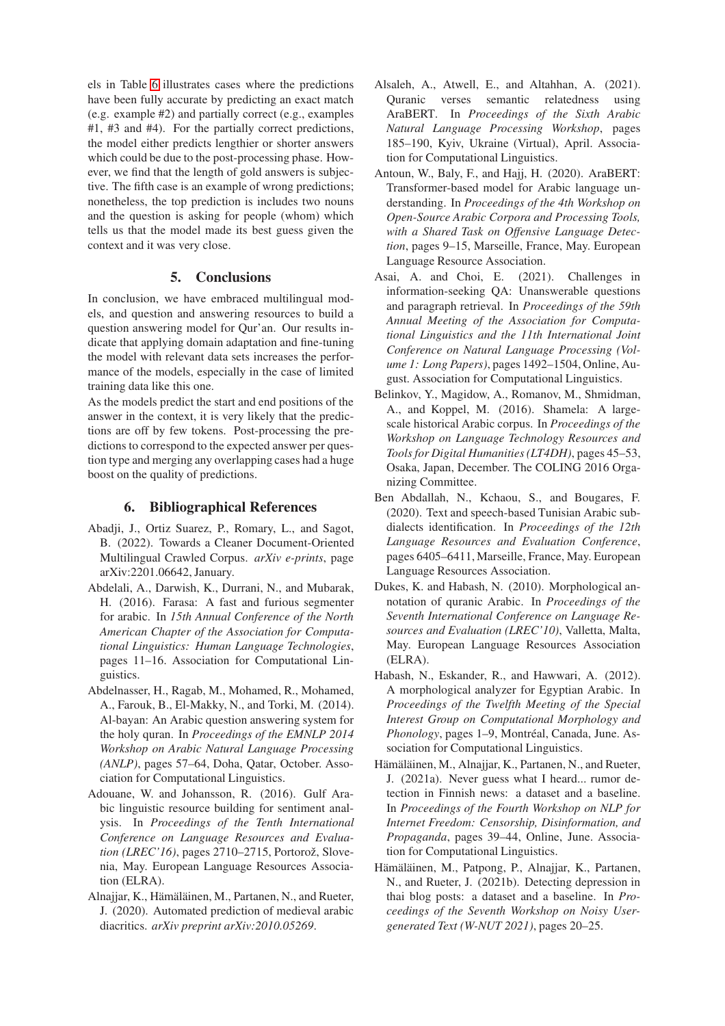els in Table [6](#page-3-0) illustrates cases where the predictions have been fully accurate by predicting an exact match (e.g. example #2) and partially correct (e.g., examples #1, #3 and #4). For the partially correct predictions, the model either predicts lengthier or shorter answers which could be due to the post-processing phase. However, we find that the length of gold answers is subjective. The fifth case is an example of wrong predictions; nonetheless, the top prediction is includes two nouns and the question is asking for people (whom) which tells us that the model made its best guess given the context and it was very close.

### 5. Conclusions

In conclusion, we have embraced multilingual models, and question and answering resources to build a question answering model for Qur'an. Our results indicate that applying domain adaptation and fine-tuning the model with relevant data sets increases the performance of the models, especially in the case of limited training data like this one.

As the models predict the start and end positions of the answer in the context, it is very likely that the predictions are off by few tokens. Post-processing the predictions to correspond to the expected answer per question type and merging any overlapping cases had a huge boost on the quality of predictions.

## 6. Bibliographical References

- <span id="page-4-10"></span>Abadji, J., Ortiz Suarez, P., Romary, L., and Sagot, B. (2022). Towards a Cleaner Document-Oriented Multilingual Crawled Corpus. *arXiv e-prints*, page arXiv:2201.06642, January.
- <span id="page-4-13"></span>Abdelali, A., Darwish, K., Durrani, N., and Mubarak, H. (2016). Farasa: A fast and furious segmenter for arabic. In *15th Annual Conference of the North American Chapter of the Association for Computational Linguistics: Human Language Technologies*, pages 11–16. Association for Computational Linguistics.
- <span id="page-4-3"></span>Abdelnasser, H., Ragab, M., Mohamed, R., Mohamed, A., Farouk, B., El-Makky, N., and Torki, M. (2014). Al-bayan: An Arabic question answering system for the holy quran. In *Proceedings of the EMNLP 2014 Workshop on Arabic Natural Language Processing (ANLP)*, pages 57–64, Doha, Qatar, October. Association for Computational Linguistics.
- <span id="page-4-7"></span>Adouane, W. and Johansson, R. (2016). Gulf Arabic linguistic resource building for sentiment analysis. In *Proceedings of the Tenth International Conference on Language Resources and Evaluation (LREC'16)*, pages 2710–2715, Portorož, Slovenia, May. European Language Resources Association (ELRA).
- <span id="page-4-5"></span>Alnajjar, K., Hämäläinen, M., Partanen, N., and Rueter, J. (2020). Automated prediction of medieval arabic diacritics. *arXiv preprint arXiv:2010.05269*.
- <span id="page-4-2"></span>Alsaleh, A., Atwell, E., and Altahhan, A. (2021). Quranic verses semantic relatedness using AraBERT. In *Proceedings of the Sixth Arabic Natural Language Processing Workshop*, pages 185–190, Kyiv, Ukraine (Virtual), April. Association for Computational Linguistics.
- <span id="page-4-9"></span>Antoun, W., Baly, F., and Hajj, H. (2020). AraBERT: Transformer-based model for Arabic language understanding. In *Proceedings of the 4th Workshop on Open-Source Arabic Corpora and Processing Tools, with a Shared Task on Offensive Language Detection*, pages 9–15, Marseille, France, May. European Language Resource Association.
- <span id="page-4-0"></span>Asai, A. and Choi, E. (2021). Challenges in information-seeking QA: Unanswerable questions and paragraph retrieval. In *Proceedings of the 59th Annual Meeting of the Association for Computational Linguistics and the 11th International Joint Conference on Natural Language Processing (Volume 1: Long Papers)*, pages 1492–1504, Online, August. Association for Computational Linguistics.
- <span id="page-4-4"></span>Belinkov, Y., Magidow, A., Romanov, M., Shmidman, A., and Koppel, M. (2016). Shamela: A largescale historical Arabic corpus. In *Proceedings of the Workshop on Language Technology Resources and Tools for Digital Humanities (LT4DH)*, pages 45–53, Osaka, Japan, December. The COLING 2016 Organizing Committee.
- <span id="page-4-6"></span>Ben Abdallah, N., Kchaou, S., and Bougares, F. (2020). Text and speech-based Tunisian Arabic subdialects identification. In *Proceedings of the 12th Language Resources and Evaluation Conference*, pages 6405–6411, Marseille, France, May. European Language Resources Association.
- <span id="page-4-1"></span>Dukes, K. and Habash, N. (2010). Morphological annotation of quranic Arabic. In *Proceedings of the Seventh International Conference on Language Resources and Evaluation (LREC'10)*, Valletta, Malta, May. European Language Resources Association (ELRA).
- <span id="page-4-8"></span>Habash, N., Eskander, R., and Hawwari, A. (2012). A morphological analyzer for Egyptian Arabic. In *Proceedings of the Twelfth Meeting of the Special Interest Group on Computational Morphology and Phonology*, pages 1–9, Montréal, Canada, June. Association for Computational Linguistics.
- <span id="page-4-11"></span>Hämäläinen, M., Alnajjar, K., Partanen, N., and Rueter, J. (2021a). Never guess what I heard... rumor detection in Finnish news: a dataset and a baseline. In *Proceedings of the Fourth Workshop on NLP for Internet Freedom: Censorship, Disinformation, and Propaganda*, pages 39–44, Online, June. Association for Computational Linguistics.
- <span id="page-4-12"></span>Hämäläinen, M., Patpong, P., Alnajjar, K., Partanen, N., and Rueter, J. (2021b). Detecting depression in thai blog posts: a dataset and a baseline. In *Proceedings of the Seventh Workshop on Noisy Usergenerated Text (W-NUT 2021)*, pages 20–25.